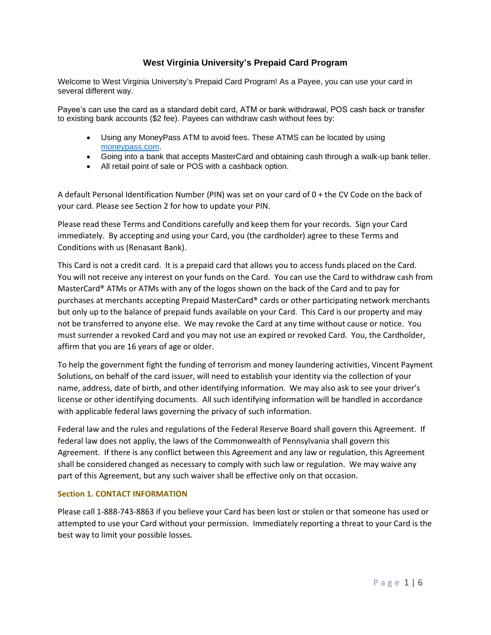# **West Virginia University's Prepaid Card Program**

Welcome to West Virginia University's Prepaid Card Program! As a Payee, you can use your card in several different way.

Payee's can use the card as a standard debit card, ATM or bank withdrawal, POS cash back or transfer to existing bank accounts (\$2 fee). Payees can withdraw cash without fees by:

- Using any MoneyPass ATM to avoid fees. These ATMS can be located by using [moneypass.com.](https://www.moneypass.com/index.html)
- Going into a bank that accepts MasterCard and obtaining cash through a walk-up bank teller.
- All retail point of sale or POS with a cashback option.

A default Personal Identification Number (PIN) was set on your card of 0 + the CV Code on the back of your card. Please see Section 2 for how to update your PIN.

Please read these Terms and Conditions carefully and keep them for your records. Sign your Card immediately. By accepting and using your Card, you (the cardholder) agree to these Terms and Conditions with us (Renasant Bank).

This Card is not a credit card. It is a prepaid card that allows you to access funds placed on the Card. You will not receive any interest on your funds on the Card. You can use the Card to withdraw cash from MasterCard® ATMs or ATMs with any of the logos shown on the back of the Card and to pay for purchases at merchants accepting Prepaid MasterCard® cards or other participating network merchants but only up to the balance of prepaid funds available on your Card. This Card is our property and may not be transferred to anyone else. We may revoke the Card at any time without cause or notice. You must surrender a revoked Card and you may not use an expired or revoked Card. You, the Cardholder, affirm that you are 16 years of age or older.

To help the government fight the funding of terrorism and money laundering activities, Vincent Payment Solutions, on behalf of the card issuer, will need to establish your identity via the collection of your name, address, date of birth, and other identifying information. We may also ask to see your driver's license or other identifying documents. All such identifying information will be handled in accordance with applicable federal laws governing the privacy of such information.

Federal law and the rules and regulations of the Federal Reserve Board shall govern this Agreement. If federal law does not appliy, the laws of the Commonwealth of Pennsylvania shall govern this Agreement. If there is any conflict between this Agreement and any law or regulation, this Agreement shall be considered changed as necessary to comply with such law or regulation. We may waive any part of this Agreement, but any such waiver shall be effective only on that occasion.

## **Section 1. CONTACT INFORMATION**

Please call 1-888-743-8863 if you believe your Card has been lost or stolen or that someone has used or attempted to use your Card without your permission. Immediately reporting a threat to your Card is the best way to limit your possible losses.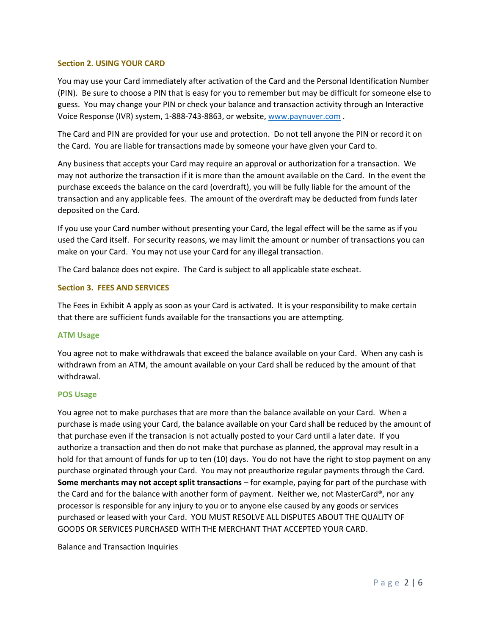#### **Section 2. USING YOUR CARD**

You may use your Card immediately after activation of the Card and the Personal Identification Number (PIN). Be sure to choose a PIN that is easy for you to remember but may be difficult for someone else to guess. You may change your PIN or check your balance and transaction activity through an Interactive Voice Response (IVR) system, 1-888-743-8863, or website[, www.paynuver.com](http://www.paynuver.com/) .

The Card and PIN are provided for your use and protection. Do not tell anyone the PIN or record it on the Card. You are liable for transactions made by someone your have given your Card to.

Any business that accepts your Card may require an approval or authorization for a transaction. We may not authorize the transaction if it is more than the amount available on the Card. In the event the purchase exceeds the balance on the card (overdraft), you will be fully liable for the amount of the transaction and any applicable fees. The amount of the overdraft may be deducted from funds later deposited on the Card.

If you use your Card number without presenting your Card, the legal effect will be the same as if you used the Card itself. For security reasons, we may limit the amount or number of transactions you can make on your Card. You may not use your Card for any illegal transaction.

The Card balance does not expire. The Card is subject to all applicable state escheat.

## **Section 3. FEES AND SERVICES**

The Fees in Exhibit A apply as soon as your Card is activated. It is your responsibility to make certain that there are sufficient funds available for the transactions you are attempting.

#### **ATM Usage**

You agree not to make withdrawals that exceed the balance available on your Card. When any cash is withdrawn from an ATM, the amount available on your Card shall be reduced by the amount of that withdrawal.

#### **POS Usage**

You agree not to make purchases that are more than the balance available on your Card. When a purchase is made using your Card, the balance available on your Card shall be reduced by the amount of that purchase even if the transacion is not actually posted to your Card until a later date. If you authorize a transaction and then do not make that purchase as planned, the approval may result in a hold for that amount of funds for up to ten (10) days. You do not have the right to stop payment on any purchase orginated through your Card. You may not preauthorize regular payments through the Card. **Some merchants may not accept split transactions** – for example, paying for part of the purchase with the Card and for the balance with another form of payment. Neither we, not MasterCard®, nor any processor is responsible for any injury to you or to anyone else caused by any goods or services purchased or leased with your Card. YOU MUST RESOLVE ALL DISPUTES ABOUT THE QUALITY OF GOODS OR SERVICES PURCHASED WITH THE MERCHANT THAT ACCEPTED YOUR CARD.

Balance and Transaction Inquiries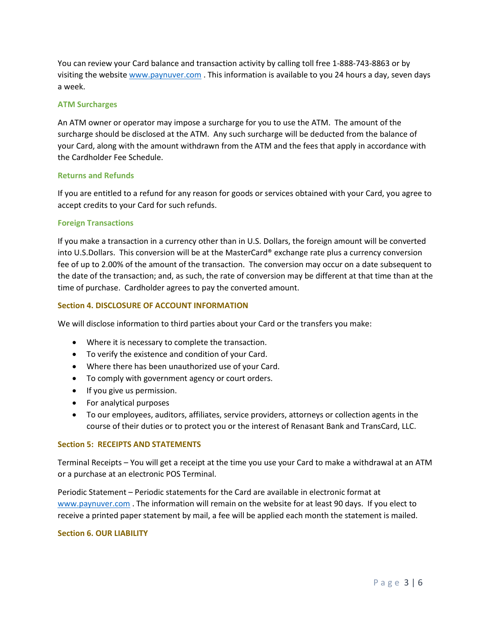You can review your Card balance and transaction activity by calling toll free 1-888-743-8863 or by visiting the website [www.paynuver.com](http://www.paynuver.com/) . This information is available to you 24 hours a day, seven days a week.

#### **ATM Surcharges**

An ATM owner or operator may impose a surcharge for you to use the ATM. The amount of the surcharge should be disclosed at the ATM. Any such surcharge will be deducted from the balance of your Card, along with the amount withdrawn from the ATM and the fees that apply in accordance with the Cardholder Fee Schedule.

## **Returns and Refunds**

If you are entitled to a refund for any reason for goods or services obtained with your Card, you agree to accept credits to your Card for such refunds.

## **Foreign Transactions**

If you make a transaction in a currency other than in U.S. Dollars, the foreign amount will be converted into U.S.Dollars. This conversion will be at the MasterCard® exchange rate plus a currency conversion fee of up to 2.00% of the amount of the transaction. The conversion may occur on a date subsequent to the date of the transaction; and, as such, the rate of conversion may be different at that time than at the time of purchase. Cardholder agrees to pay the converted amount.

## **Section 4. DISCLOSURE OF ACCOUNT INFORMATION**

We will disclose information to third parties about your Card or the transfers you make:

- Where it is necessary to complete the transaction.
- To verify the existence and condition of your Card.
- Where there has been unauthorized use of your Card.
- To comply with government agency or court orders.
- If you give us permission.
- For analytical purposes
- To our employees, auditors, affiliates, service providers, attorneys or collection agents in the course of their duties or to protect you or the interest of Renasant Bank and TransCard, LLC.

#### **Section 5: RECEIPTS AND STATEMENTS**

Terminal Receipts – You will get a receipt at the time you use your Card to make a withdrawal at an ATM or a purchase at an electronic POS Terminal.

Periodic Statement – Periodic statements for the Card are available in electronic format at [www.paynuver.com](http://www.paynuver.com/) . The information will remain on the website for at least 90 days. If you elect to receive a printed paper statement by mail, a fee will be applied each month the statement is mailed.

#### **Section 6. OUR LIABILITY**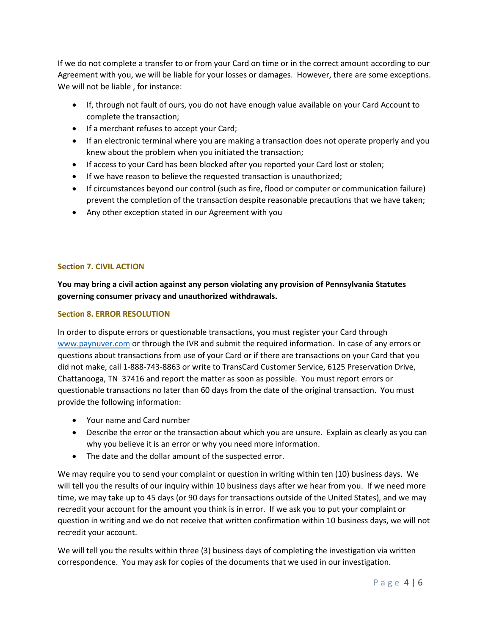If we do not complete a transfer to or from your Card on time or in the correct amount according to our Agreement with you, we will be liable for your losses or damages. However, there are some exceptions. We will not be liable , for instance:

- If, through not fault of ours, you do not have enough value available on your Card Account to complete the transaction;
- If a merchant refuses to accept your Card;
- If an electronic terminal where you are making a transaction does not operate properly and you knew about the problem when you initiated the transaction;
- If access to your Card has been blocked after you reported your Card lost or stolen;
- If we have reason to believe the requested transaction is unauthorized;
- If circumstances beyond our control (such as fire, flood or computer or communication failure) prevent the completion of the transaction despite reasonable precautions that we have taken;
- Any other exception stated in our Agreement with you

# **Section 7. CIVIL ACTION**

**You may bring a civil action against any person violating any provision of Pennsylvania Statutes governing consumer privacy and unauthorized withdrawals.**

## **Section 8. ERROR RESOLUTION**

In order to dispute errors or questionable transactions, you must register your Card through [www.paynuver.com](http://www.paynuver.com/) or through the IVR and submit the required information. In case of any errors or questions about transactions from use of your Card or if there are transactions on your Card that you did not make, call 1-888-743-8863 or write to TransCard Customer Service, 6125 Preservation Drive, Chattanooga, TN 37416 and report the matter as soon as possible. You must report errors or questionable transactions no later than 60 days from the date of the original transaction. You must provide the following information:

- Your name and Card number
- Describe the error or the transaction about which you are unsure. Explain as clearly as you can why you believe it is an error or why you need more information.
- The date and the dollar amount of the suspected error.

We may require you to send your complaint or question in writing within ten (10) business days. We will tell you the results of our inquiry within 10 business days after we hear from you. If we need more time, we may take up to 45 days (or 90 days for transactions outside of the United States), and we may recredit your account for the amount you think is in error. If we ask you to put your complaint or question in writing and we do not receive that written confirmation within 10 business days, we will not recredit your account.

We will tell you the results within three (3) business days of completing the investigation via written correspondence. You may ask for copies of the documents that we used in our investigation.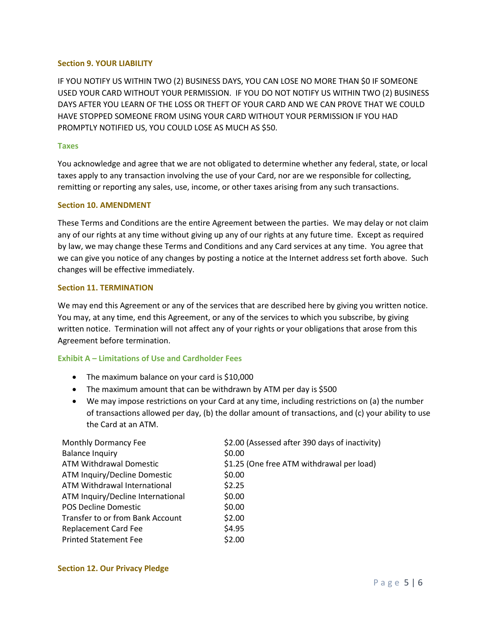#### **Section 9. YOUR LIABILITY**

IF YOU NOTIFY US WITHIN TWO (2) BUSINESS DAYS, YOU CAN LOSE NO MORE THAN \$0 IF SOMEONE USED YOUR CARD WITHOUT YOUR PERMISSION. IF YOU DO NOT NOTIFY US WITHIN TWO (2) BUSINESS DAYS AFTER YOU LEARN OF THE LOSS OR THEFT OF YOUR CARD AND WE CAN PROVE THAT WE COULD HAVE STOPPED SOMEONE FROM USING YOUR CARD WITHOUT YOUR PERMISSION IF YOU HAD PROMPTLY NOTIFIED US, YOU COULD LOSE AS MUCH AS \$50.

## **Taxes**

You acknowledge and agree that we are not obligated to determine whether any federal, state, or local taxes apply to any transaction involving the use of your Card, nor are we responsible for collecting, remitting or reporting any sales, use, income, or other taxes arising from any such transactions.

## **Section 10. AMENDMENT**

These Terms and Conditions are the entire Agreement between the parties. We may delay or not claim any of our rights at any time without giving up any of our rights at any future time. Except as required by law, we may change these Terms and Conditions and any Card services at any time. You agree that we can give you notice of any changes by posting a notice at the Internet address set forth above. Such changes will be effective immediately.

#### **Section 11. TERMINATION**

We may end this Agreement or any of the services that are described here by giving you written notice. You may, at any time, end this Agreement, or any of the services to which you subscribe, by giving written notice. Termination will not affect any of your rights or your obligations that arose from this Agreement before termination.

## **Exhibit A – Limitations of Use and Cardholder Fees**

- The maximum balance on your card is \$10,000
- The maximum amount that can be withdrawn by ATM per day is \$500
- We may impose restrictions on your Card at any time, including restrictions on (a) the number of transactions allowed per day, (b) the dollar amount of transactions, and (c) your ability to use the Card at an ATM.

| Monthly Dormancy Fee              | \$2.00 (Assessed after 390 days of inactivity) |
|-----------------------------------|------------------------------------------------|
| <b>Balance Inquiry</b>            | \$0.00                                         |
| ATM Withdrawal Domestic           | \$1.25 (One free ATM withdrawal per load)      |
| ATM Inquiry/Decline Domestic      | \$0.00                                         |
| ATM Withdrawal International      | \$2.25                                         |
| ATM Inquiry/Decline International | \$0.00                                         |
| <b>POS Decline Domestic</b>       | \$0.00                                         |
| Transfer to or from Bank Account  | \$2.00                                         |
| <b>Replacement Card Fee</b>       | \$4.95                                         |
| <b>Printed Statement Fee</b>      | \$2.00                                         |

## **Section 12. Our Privacy Pledge**